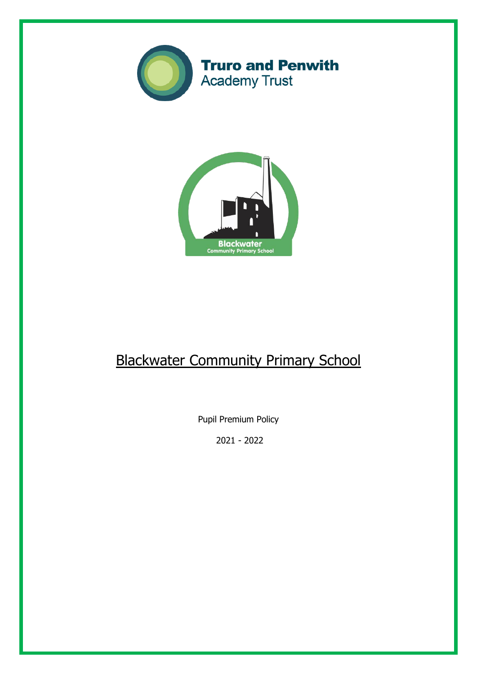



# Blackwater Community Primary School

Pupil Premium Policy

2021 - 2022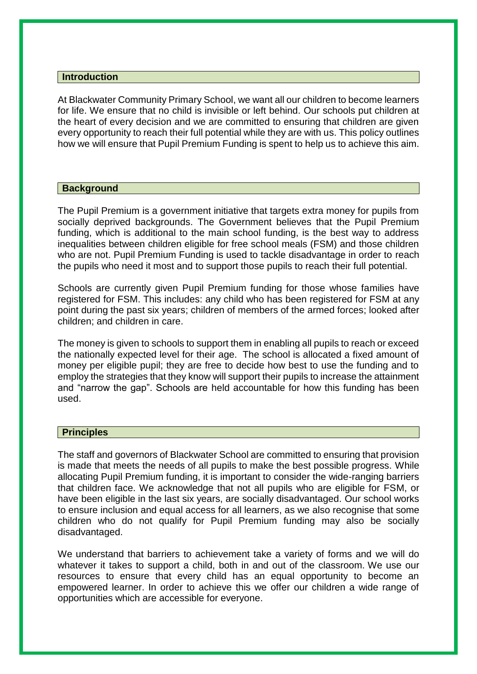# **Introduction**

At Blackwater Community Primary School, we want all our children to become learners for life. We ensure that no child is invisible or left behind. Our schools put children at the heart of every decision and we are committed to ensuring that children are given every opportunity to reach their full potential while they are with us. This policy outlines how we will ensure that Pupil Premium Funding is spent to help us to achieve this aim.

# **Background**

The Pupil Premium is a government initiative that targets extra money for pupils from socially deprived backgrounds. The Government believes that the Pupil Premium funding, which is additional to the main school funding, is the best way to address inequalities between children eligible for free school meals (FSM) and those children who are not. Pupil Premium Funding is used to tackle disadvantage in order to reach the pupils who need it most and to support those pupils to reach their full potential.

Schools are currently given Pupil Premium funding for those whose families have registered for FSM. This includes: any child who has been registered for FSM at any point during the past six years; children of members of the armed forces; looked after children; and children in care.

The money is given to schools to support them in enabling all pupils to reach or exceed the nationally expected level for their age. The school is allocated a fixed amount of money per eligible pupil; they are free to decide how best to use the funding and to employ the strategies that they know will support their pupils to increase the attainment and "narrow the gap". Schools are held accountable for how this funding has been used.

# **Principles**

The staff and governors of Blackwater School are committed to ensuring that provision is made that meets the needs of all pupils to make the best possible progress. While allocating Pupil Premium funding, it is important to consider the wide-ranging barriers that children face. We acknowledge that not all pupils who are eligible for FSM, or have been eligible in the last six years, are socially disadvantaged. Our school works to ensure inclusion and equal access for all learners, as we also recognise that some children who do not qualify for Pupil Premium funding may also be socially disadvantaged.

We understand that barriers to achievement take a variety of forms and we will do whatever it takes to support a child, both in and out of the classroom. We use our resources to ensure that every child has an equal opportunity to become an empowered learner. In order to achieve this we offer our children a wide range of opportunities which are accessible for everyone.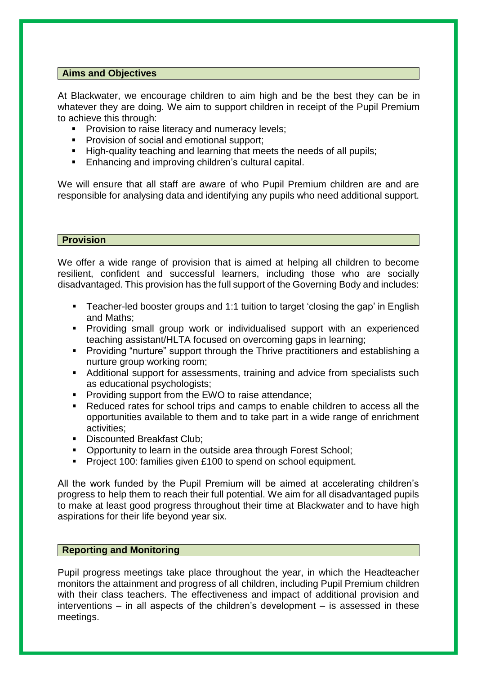# **Aims and Objectives**

At Blackwater, we encourage children to aim high and be the best they can be in whatever they are doing. We aim to support children in receipt of the Pupil Premium to achieve this through:

- **Provision to raise literacy and numeracy levels;**
- **Provision of social and emotional support;**
- High-quality teaching and learning that meets the needs of all pupils;
- **Enhancing and improving children's cultural capital.**

We will ensure that all staff are aware of who Pupil Premium children are and are responsible for analysing data and identifying any pupils who need additional support.

# **Provision**

We offer a wide range of provision that is aimed at helping all children to become resilient, confident and successful learners, including those who are socially disadvantaged. This provision has the full support of the Governing Body and includes:

- Teacher-led booster groups and 1:1 tuition to target 'closing the gap' in English and Maths;
- **Providing small group work or individualised support with an experienced** teaching assistant/HLTA focused on overcoming gaps in learning;
- **Providing "nurture" support through the Thrive practitioners and establishing a** nurture group working room;
- Additional support for assessments, training and advice from specialists such as educational psychologists;
- **Providing support from the EWO to raise attendance;**
- Reduced rates for school trips and camps to enable children to access all the opportunities available to them and to take part in a wide range of enrichment activities;
- Discounted Breakfast Club:
- Opportunity to learn in the outside area through Forest School;
- **Project 100: families given £100 to spend on school equipment.**

All the work funded by the Pupil Premium will be aimed at accelerating children's progress to help them to reach their full potential. We aim for all disadvantaged pupils to make at least good progress throughout their time at Blackwater and to have high aspirations for their life beyond year six.

# **Reporting and Monitoring**

Pupil progress meetings take place throughout the year, in which the Headteacher monitors the attainment and progress of all children, including Pupil Premium children with their class teachers. The effectiveness and impact of additional provision and interventions – in all aspects of the children's development – is assessed in these meetings.